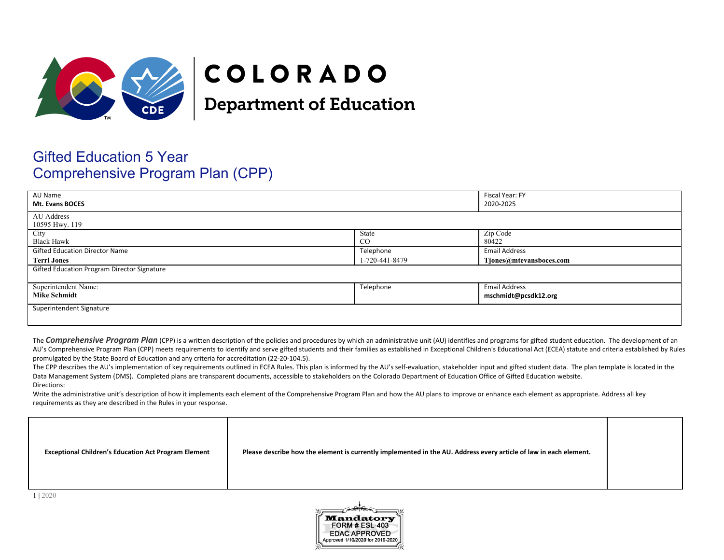

# COLORADO

**Department of Education** 

# Gifted Education 5 Year Comprehensive Program Plan (CPP)

| AU Name<br><b>Mt. Evans BOCES</b>           |                | Fiscal Year: FY<br>2020-2025 |
|---------------------------------------------|----------------|------------------------------|
| AU Address<br>10595 Hwy. 119                |                |                              |
| City                                        | State          | Zip Code                     |
| <b>Black Hawk</b>                           | $\rm CO$       | 80422                        |
| <b>Gifted Education Director Name</b>       | Telephone      | <b>Email Address</b>         |
| <b>Terri Jones</b>                          | 1-720-441-8479 | Tjones@mtevansboces.com      |
| Gifted Education Program Director Signature |                |                              |
|                                             |                |                              |
| Superintendent Name:                        | Telephone      | <b>Email Address</b>         |
| <b>Mike Schmidt</b>                         |                | mschmidt@pcsdk12.org         |
| Superintendent Signature                    |                |                              |
|                                             |                |                              |

The **Comprehensive Program Plan** (CPP) is a written description of the policies and procedures by which an administrative unit (AU) identifies and programs for gifted student education. The development of an AU's Comprehensive Program Plan (CPP) meets requirements to identify and serve gifted students and their families as established in Exceptional Children's Educational Act (ECEA) statute and criteria established by Rules promulgated by the State Board of Education and any criteria for accreditation (22-20-104.5).

The CPP describes the AU's implementation of key requirements outlined in ECEA Rules. This plan is informed by the AU's self-evaluation, stakeholder input and gifted student data. The plan template is located in the Data Management System (DMS). Completed plans are transparent documents, accessible to stakeholders on the Colorado Department of Education Office of Gifted Education website. Directions:

Write the administrative unit's description of how it implements each element of the Comprehensive Program Plan and how the AU plans to improve or enhance each element as appropriate. Address all key requirements as they are described in the Rules in your response.

| Please describe how the element is currently implemented in the AU. Address every article of law in each element.<br><b>Exceptional Children's Education Act Program Element</b> |  |
|----------------------------------------------------------------------------------------------------------------------------------------------------------------------------------|--|
|----------------------------------------------------------------------------------------------------------------------------------------------------------------------------------|--|

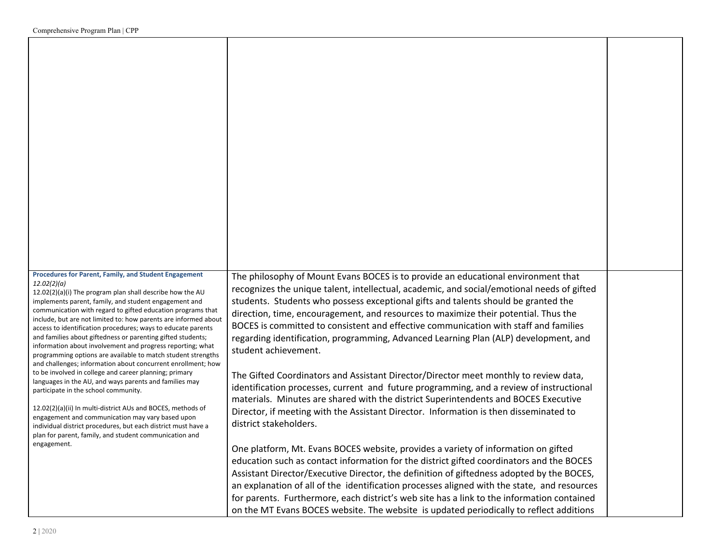| <b>Procedures for Parent, Family, and Student Engagement</b>                                                                   |                                                                                                                                                                                       |  |
|--------------------------------------------------------------------------------------------------------------------------------|---------------------------------------------------------------------------------------------------------------------------------------------------------------------------------------|--|
| 12.02(2)(a)                                                                                                                    | The philosophy of Mount Evans BOCES is to provide an educational environment that<br>recognizes the unique talent, intellectual, academic, and social/emotional needs of gifted       |  |
| 12.02(2)(a)(i) The program plan shall describe how the AU<br>implements parent, family, and student engagement and             | students. Students who possess exceptional gifts and talents should be granted the                                                                                                    |  |
| communication with regard to gifted education programs that<br>include, but are not limited to: how parents are informed about | direction, time, encouragement, and resources to maximize their potential. Thus the                                                                                                   |  |
| access to identification procedures; ways to educate parents<br>and families about giftedness or parenting gifted students;    | BOCES is committed to consistent and effective communication with staff and families                                                                                                  |  |
| information about involvement and progress reporting; what                                                                     | regarding identification, programming, Advanced Learning Plan (ALP) development, and<br>student achievement.                                                                          |  |
| programming options are available to match student strengths<br>and challenges; information about concurrent enrollment; how   |                                                                                                                                                                                       |  |
| to be involved in college and career planning; primary<br>languages in the AU, and ways parents and families may               | The Gifted Coordinators and Assistant Director/Director meet monthly to review data,                                                                                                  |  |
| participate in the school community.                                                                                           | identification processes, current and future programming, and a review of instructional                                                                                               |  |
| 12.02(2)(a)(ii) In multi-district AUs and BOCES, methods of                                                                    | materials. Minutes are shared with the district Superintendents and BOCES Executive<br>Director, if meeting with the Assistant Director. Information is then disseminated to          |  |
| engagement and communication may vary based upon<br>individual district procedures, but each district must have a              | district stakeholders.                                                                                                                                                                |  |
| plan for parent, family, and student communication and                                                                         |                                                                                                                                                                                       |  |
| engagement.                                                                                                                    | One platform, Mt. Evans BOCES website, provides a variety of information on gifted                                                                                                    |  |
|                                                                                                                                | education such as contact information for the district gifted coordinators and the BOCES<br>Assistant Director/Executive Director, the definition of giftedness adopted by the BOCES, |  |
|                                                                                                                                | an explanation of all of the identification processes aligned with the state, and resources                                                                                           |  |
|                                                                                                                                | for parents. Furthermore, each district's web site has a link to the information contained                                                                                            |  |
|                                                                                                                                | on the MT Evans BOCES website. The website is updated periodically to reflect additions                                                                                               |  |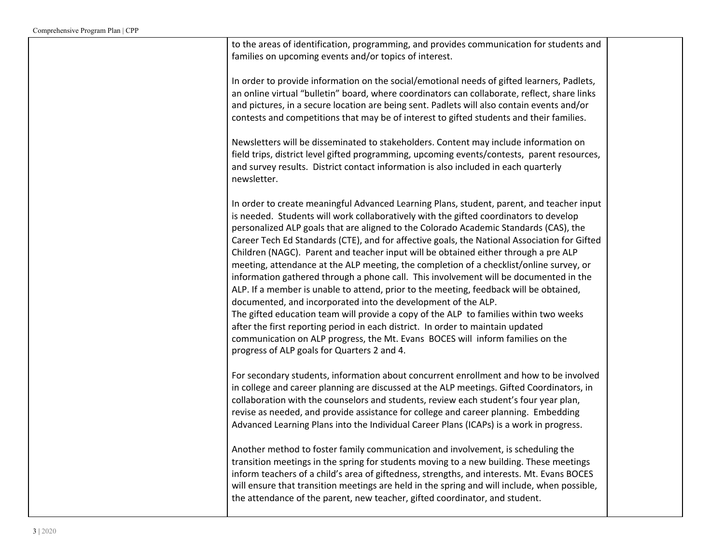| to the areas of identification, programming, and provides communication for students and<br>families on upcoming events and/or topics of interest.                                                                                                                                                                                                                                                                                                                                                                                                                                                                                                                                                                                                                                                                                                                                                                                                                                                                                                                                                                             |  |
|--------------------------------------------------------------------------------------------------------------------------------------------------------------------------------------------------------------------------------------------------------------------------------------------------------------------------------------------------------------------------------------------------------------------------------------------------------------------------------------------------------------------------------------------------------------------------------------------------------------------------------------------------------------------------------------------------------------------------------------------------------------------------------------------------------------------------------------------------------------------------------------------------------------------------------------------------------------------------------------------------------------------------------------------------------------------------------------------------------------------------------|--|
| In order to provide information on the social/emotional needs of gifted learners, Padlets,<br>an online virtual "bulletin" board, where coordinators can collaborate, reflect, share links<br>and pictures, in a secure location are being sent. Padlets will also contain events and/or<br>contests and competitions that may be of interest to gifted students and their families.                                                                                                                                                                                                                                                                                                                                                                                                                                                                                                                                                                                                                                                                                                                                           |  |
| Newsletters will be disseminated to stakeholders. Content may include information on<br>field trips, district level gifted programming, upcoming events/contests, parent resources,<br>and survey results. District contact information is also included in each quarterly<br>newsletter.                                                                                                                                                                                                                                                                                                                                                                                                                                                                                                                                                                                                                                                                                                                                                                                                                                      |  |
| In order to create meaningful Advanced Learning Plans, student, parent, and teacher input<br>is needed. Students will work collaboratively with the gifted coordinators to develop<br>personalized ALP goals that are aligned to the Colorado Academic Standards (CAS), the<br>Career Tech Ed Standards (CTE), and for affective goals, the National Association for Gifted<br>Children (NAGC). Parent and teacher input will be obtained either through a pre ALP<br>meeting, attendance at the ALP meeting, the completion of a checklist/online survey, or<br>information gathered through a phone call. This involvement will be documented in the<br>ALP. If a member is unable to attend, prior to the meeting, feedback will be obtained,<br>documented, and incorporated into the development of the ALP.<br>The gifted education team will provide a copy of the ALP to families within two weeks<br>after the first reporting period in each district. In order to maintain updated<br>communication on ALP progress, the Mt. Evans BOCES will inform families on the<br>progress of ALP goals for Quarters 2 and 4. |  |
| For secondary students, information about concurrent enrollment and how to be involved<br>in college and career planning are discussed at the ALP meetings. Gifted Coordinators, in<br>collaboration with the counselors and students, review each student's four year plan,<br>revise as needed, and provide assistance for college and career planning. Embedding<br>Advanced Learning Plans into the Individual Career Plans (ICAPs) is a work in progress.                                                                                                                                                                                                                                                                                                                                                                                                                                                                                                                                                                                                                                                                 |  |
| Another method to foster family communication and involvement, is scheduling the<br>transition meetings in the spring for students moving to a new building. These meetings<br>inform teachers of a child's area of giftedness, strengths, and interests. Mt. Evans BOCES<br>will ensure that transition meetings are held in the spring and will include, when possible,<br>the attendance of the parent, new teacher, gifted coordinator, and student.                                                                                                                                                                                                                                                                                                                                                                                                                                                                                                                                                                                                                                                                       |  |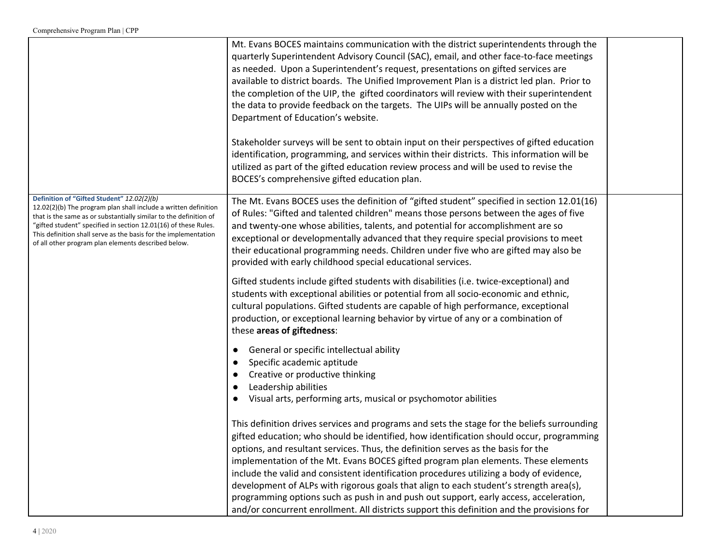|                                                                                                                                                                                                                                                                                                                                                                                 | Mt. Evans BOCES maintains communication with the district superintendents through the<br>quarterly Superintendent Advisory Council (SAC), email, and other face-to-face meetings<br>as needed. Upon a Superintendent's request, presentations on gifted services are<br>available to district boards. The Unified Improvement Plan is a district led plan. Prior to<br>the completion of the UIP, the gifted coordinators will review with their superintendent<br>the data to provide feedback on the targets. The UIPs will be annually posted on the<br>Department of Education's website. |  |
|---------------------------------------------------------------------------------------------------------------------------------------------------------------------------------------------------------------------------------------------------------------------------------------------------------------------------------------------------------------------------------|-----------------------------------------------------------------------------------------------------------------------------------------------------------------------------------------------------------------------------------------------------------------------------------------------------------------------------------------------------------------------------------------------------------------------------------------------------------------------------------------------------------------------------------------------------------------------------------------------|--|
|                                                                                                                                                                                                                                                                                                                                                                                 | Stakeholder surveys will be sent to obtain input on their perspectives of gifted education<br>identification, programming, and services within their districts. This information will be<br>utilized as part of the gifted education review process and will be used to revise the<br>BOCES's comprehensive gifted education plan.                                                                                                                                                                                                                                                            |  |
| Definition of "Gifted Student" 12.02(2)(b)<br>12.02(2)(b) The program plan shall include a written definition<br>that is the same as or substantially similar to the definition of<br>"gifted student" specified in section 12.01(16) of these Rules.<br>This definition shall serve as the basis for the implementation<br>of all other program plan elements described below. | The Mt. Evans BOCES uses the definition of "gifted student" specified in section 12.01(16)<br>of Rules: "Gifted and talented children" means those persons between the ages of five<br>and twenty-one whose abilities, talents, and potential for accomplishment are so<br>exceptional or developmentally advanced that they require special provisions to meet<br>their educational programming needs. Children under five who are gifted may also be<br>provided with early childhood special educational services.                                                                         |  |
|                                                                                                                                                                                                                                                                                                                                                                                 | Gifted students include gifted students with disabilities (i.e. twice-exceptional) and<br>students with exceptional abilities or potential from all socio-economic and ethnic,<br>cultural populations. Gifted students are capable of high performance, exceptional<br>production, or exceptional learning behavior by virtue of any or a combination of<br>these areas of giftedness:                                                                                                                                                                                                       |  |
|                                                                                                                                                                                                                                                                                                                                                                                 | General or specific intellectual ability                                                                                                                                                                                                                                                                                                                                                                                                                                                                                                                                                      |  |
|                                                                                                                                                                                                                                                                                                                                                                                 | Specific academic aptitude<br>Creative or productive thinking                                                                                                                                                                                                                                                                                                                                                                                                                                                                                                                                 |  |
|                                                                                                                                                                                                                                                                                                                                                                                 | Leadership abilities                                                                                                                                                                                                                                                                                                                                                                                                                                                                                                                                                                          |  |
|                                                                                                                                                                                                                                                                                                                                                                                 | Visual arts, performing arts, musical or psychomotor abilities                                                                                                                                                                                                                                                                                                                                                                                                                                                                                                                                |  |
|                                                                                                                                                                                                                                                                                                                                                                                 | This definition drives services and programs and sets the stage for the beliefs surrounding<br>gifted education; who should be identified, how identification should occur, programming                                                                                                                                                                                                                                                                                                                                                                                                       |  |
|                                                                                                                                                                                                                                                                                                                                                                                 | options, and resultant services. Thus, the definition serves as the basis for the                                                                                                                                                                                                                                                                                                                                                                                                                                                                                                             |  |
|                                                                                                                                                                                                                                                                                                                                                                                 | implementation of the Mt. Evans BOCES gifted program plan elements. These elements<br>include the valid and consistent identification procedures utilizing a body of evidence,                                                                                                                                                                                                                                                                                                                                                                                                                |  |
|                                                                                                                                                                                                                                                                                                                                                                                 | development of ALPs with rigorous goals that align to each student's strength area(s),                                                                                                                                                                                                                                                                                                                                                                                                                                                                                                        |  |
|                                                                                                                                                                                                                                                                                                                                                                                 | programming options such as push in and push out support, early access, acceleration,                                                                                                                                                                                                                                                                                                                                                                                                                                                                                                         |  |
|                                                                                                                                                                                                                                                                                                                                                                                 | and/or concurrent enrollment. All districts support this definition and the provisions for                                                                                                                                                                                                                                                                                                                                                                                                                                                                                                    |  |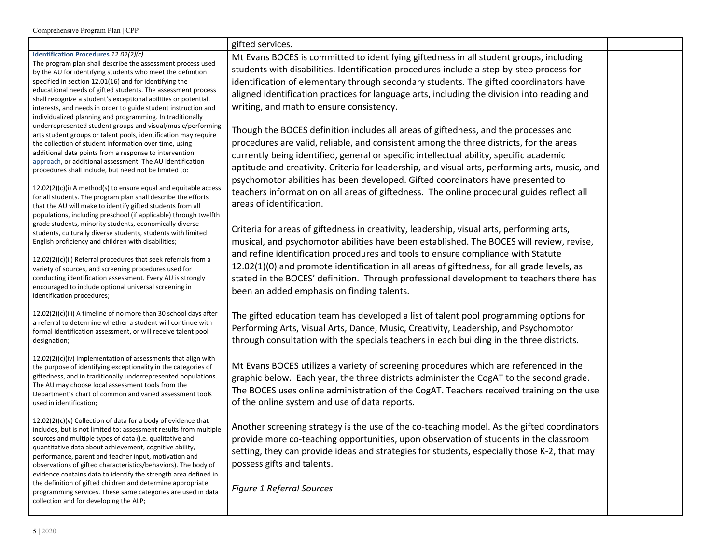|                                                                                                                                    | gifted services.                                                                               |  |
|------------------------------------------------------------------------------------------------------------------------------------|------------------------------------------------------------------------------------------------|--|
| Identification Procedures 12.02(2)(c)                                                                                              | Mt Evans BOCES is committed to identifying giftedness in all student groups, including         |  |
| The program plan shall describe the assessment process used<br>by the AU for identifying students who meet the definition          | students with disabilities. Identification procedures include a step-by-step process for       |  |
| specified in section 12.01(16) and for identifying the                                                                             | identification of elementary through secondary students. The gifted coordinators have          |  |
| educational needs of gifted students. The assessment process                                                                       | aligned identification practices for language arts, including the division into reading and    |  |
| shall recognize a student's exceptional abilities or potential,                                                                    | writing, and math to ensure consistency.                                                       |  |
| interests, and needs in order to guide student instruction and<br>individualized planning and programming. In traditionally        |                                                                                                |  |
| underrepresented student groups and visual/music/performing                                                                        |                                                                                                |  |
| arts student groups or talent pools, identification may require                                                                    | Though the BOCES definition includes all areas of giftedness, and the processes and            |  |
| the collection of student information over time, using                                                                             | procedures are valid, reliable, and consistent among the three districts, for the areas        |  |
| additional data points from a response to intervention<br>approach, or additional assessment. The AU identification                | currently being identified, general or specific intellectual ability, specific academic        |  |
| procedures shall include, but need not be limited to:                                                                              | aptitude and creativity. Criteria for leadership, and visual arts, performing arts, music, and |  |
|                                                                                                                                    | psychomotor abilities has been developed. Gifted coordinators have presented to                |  |
| $12.02(2)(c)(i)$ A method(s) to ensure equal and equitable access<br>for all students. The program plan shall describe the efforts | teachers information on all areas of giftedness. The online procedural guides reflect all      |  |
| that the AU will make to identify gifted students from all                                                                         | areas of identification.                                                                       |  |
| populations, including preschool (if applicable) through twelfth                                                                   |                                                                                                |  |
| grade students, minority students, economically diverse                                                                            | Criteria for areas of giftedness in creativity, leadership, visual arts, performing arts,      |  |
| students, culturally diverse students, students with limited<br>English proficiency and children with disabilities;                | musical, and psychomotor abilities have been established. The BOCES will review, revise,       |  |
|                                                                                                                                    | and refine identification procedures and tools to ensure compliance with Statute               |  |
| $12.02(2)(c)(ii)$ Referral procedures that seek referrals from a                                                                   |                                                                                                |  |
| variety of sources, and screening procedures used for                                                                              | 12.02(1)(0) and promote identification in all areas of giftedness, for all grade levels, as    |  |
| conducting identification assessment. Every AU is strongly<br>encouraged to include optional universal screening in                | stated in the BOCES' definition. Through professional development to teachers there has        |  |
| identification procedures;                                                                                                         | been an added emphasis on finding talents.                                                     |  |
|                                                                                                                                    |                                                                                                |  |
| 12.02(2)(c)(iii) A timeline of no more than 30 school days after                                                                   | The gifted education team has developed a list of talent pool programming options for          |  |
| a referral to determine whether a student will continue with<br>formal identification assessment, or will receive talent pool      | Performing Arts, Visual Arts, Dance, Music, Creativity, Leadership, and Psychomotor            |  |
| designation;                                                                                                                       | through consultation with the specials teachers in each building in the three districts.       |  |
|                                                                                                                                    |                                                                                                |  |
| $12.02(2)(c)(iv)$ Implementation of assessments that align with                                                                    | Mt Evans BOCES utilizes a variety of screening procedures which are referenced in the          |  |
| the purpose of identifying exceptionality in the categories of<br>giftedness, and in traditionally underrepresented populations.   | graphic below. Each year, the three districts administer the CogAT to the second grade.        |  |
| The AU may choose local assessment tools from the                                                                                  |                                                                                                |  |
| Department's chart of common and varied assessment tools                                                                           | The BOCES uses online administration of the CogAT. Teachers received training on the use       |  |
| used in identification;                                                                                                            | of the online system and use of data reports.                                                  |  |
| 12.02(2)(c)(v) Collection of data for a body of evidence that                                                                      |                                                                                                |  |
| includes, but is not limited to: assessment results from multiple                                                                  | Another screening strategy is the use of the co-teaching model. As the gifted coordinators     |  |
| sources and multiple types of data (i.e. qualitative and                                                                           | provide more co-teaching opportunities, upon observation of students in the classroom          |  |
| quantitative data about achievement, cognitive ability,<br>performance, parent and teacher input, motivation and                   | setting, they can provide ideas and strategies for students, especially those K-2, that may    |  |
| observations of gifted characteristics/behaviors). The body of                                                                     | possess gifts and talents.                                                                     |  |
| evidence contains data to identify the strength area defined in                                                                    |                                                                                                |  |
| the definition of gifted children and determine appropriate                                                                        | <b>Figure 1 Referral Sources</b>                                                               |  |
| programming services. These same categories are used in data<br>collection and for developing the ALP;                             |                                                                                                |  |
|                                                                                                                                    |                                                                                                |  |
|                                                                                                                                    |                                                                                                |  |
| 5 2020                                                                                                                             |                                                                                                |  |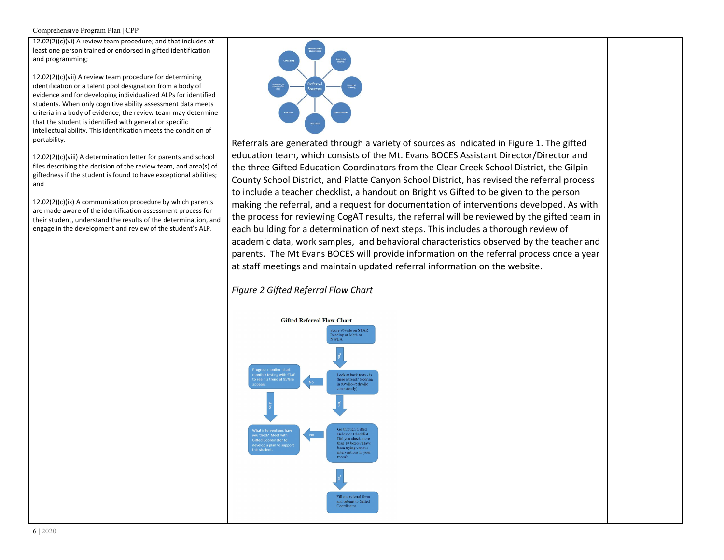12.02(2)(c)(vi) A review team procedure; and that includes at least one person trained or endorsed in gifted identification and programming;

12.02(2)(c)(vii) A review team procedure for determining identification or a talent pool designation from a body of evidence and for developing individualized ALPs for identified students. When only cognitive ability assessment data meets criteria in a body of evidence, the review team may determine that the student is identified with general or specific intellectual ability. This identification meets the condition of portability.

12.02(2)(c)(viii) A determination letter for parents and school files describing the decision of the review team, and area(s) of giftedness if the student is found to have exceptional abilities; and

12.02(2)(c)(ix) A communication procedure by which parents are made aware of the identification assessment process for their student, understand the results of the determination, and engage in the development and review of the student's ALP.



Referrals are generated through a variety of sources as indicated in Figure 1. The gifted education team, which consists of the Mt. Evans BOCES Assistant Director/Director and the three Gifted Education Coordinators from the Clear Creek School District, the Gilpin County School District, and Platte Canyon School District, has revised the referral process to include a teacher checklist, a handout on Bright vs Gifted to be given to the person making the referral, and a request for documentation of interventions developed. As with the process for reviewing CogAT results, the referral will be reviewed by the gifted team in each building for a determination of next steps. This includes a thorough review of academic data, work samples, and behavioral characteristics observed by the teacher and parents. The Mt Evans BOCES will provide information on the referral process once a year at staff meetings and maintain updated referral information on the website.

# *Figure 2 Gifted Referral Flow Chart*

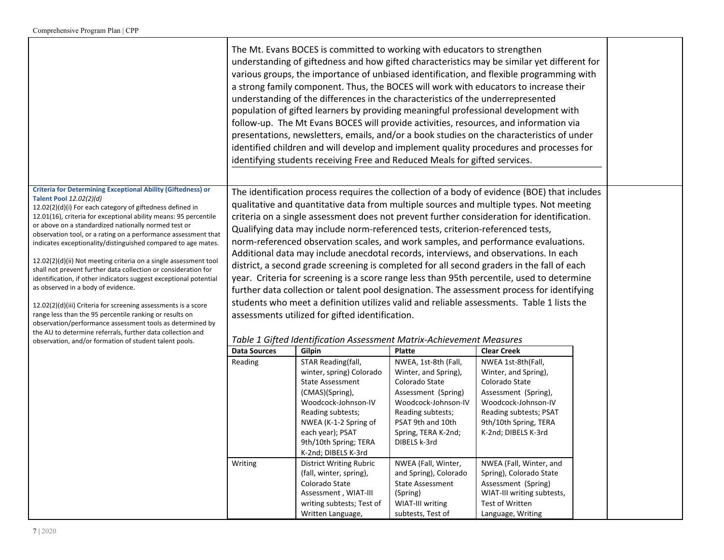|                                                                                                                                                                                                                                                                                                                                                                                                                                                                                                                                                                                                                                                                                                                                                                                                                                                                                                                                       |                     | The Mt. Evans BOCES is committed to working with educators to strengthen<br>understanding of the differences in the characteristics of the underrepresented<br>identifying students receiving Free and Reduced Meals for gifted services. |                                                                                                                                                                                               | understanding of giftedness and how gifted characteristics may be similar yet different for<br>various groups, the importance of unbiased identification, and flexible programming with<br>a strong family component. Thus, the BOCES will work with educators to increase their<br>population of gifted learners by providing meaningful professional development with<br>follow-up. The Mt Evans BOCES will provide activities, resources, and information via<br>presentations, newsletters, emails, and/or a book studies on the characteristics of under<br>identified children and will develop and implement quality procedures and processes for                                                                                                                                                                                                   |  |
|---------------------------------------------------------------------------------------------------------------------------------------------------------------------------------------------------------------------------------------------------------------------------------------------------------------------------------------------------------------------------------------------------------------------------------------------------------------------------------------------------------------------------------------------------------------------------------------------------------------------------------------------------------------------------------------------------------------------------------------------------------------------------------------------------------------------------------------------------------------------------------------------------------------------------------------|---------------------|-------------------------------------------------------------------------------------------------------------------------------------------------------------------------------------------------------------------------------------------|-----------------------------------------------------------------------------------------------------------------------------------------------------------------------------------------------|------------------------------------------------------------------------------------------------------------------------------------------------------------------------------------------------------------------------------------------------------------------------------------------------------------------------------------------------------------------------------------------------------------------------------------------------------------------------------------------------------------------------------------------------------------------------------------------------------------------------------------------------------------------------------------------------------------------------------------------------------------------------------------------------------------------------------------------------------------|--|
| <b>Criteria for Determining Exceptional Ability (Giftedness) or</b><br>Talent Pool 12.02(2)(d)<br>12.02(2)(d)(i) For each category of giftedness defined in<br>12.01(16), criteria for exceptional ability means: 95 percentile<br>or above on a standardized nationally normed test or<br>observation tool, or a rating on a performance assessment that<br>indicates exceptionality/distinguished compared to age mates.<br>$12.02(2)(d)(ii)$ Not meeting criteria on a single assessment tool<br>shall not prevent further data collection or consideration for<br>identification, if other indicators suggest exceptional potential<br>as observed in a body of evidence.<br>12.02(2)(d)(iii) Criteria for screening assessments is a score<br>range less than the 95 percentile ranking or results on<br>observation/performance assessment tools as determined by<br>the AU to determine referrals, further data collection and |                     | Qualifying data may include norm-referenced tests, criterion-referenced tests,<br>assessments utilized for gifted identification.                                                                                                         |                                                                                                                                                                                               | The identification process requires the collection of a body of evidence (BOE) that includes<br>qualitative and quantitative data from multiple sources and multiple types. Not meeting<br>criteria on a single assessment does not prevent further consideration for identification.<br>norm-referenced observation scales, and work samples, and performance evaluations.<br>Additional data may include anecdotal records, interviews, and observations. In each<br>district, a second grade screening is completed for all second graders in the fall of each<br>year. Criteria for screening is a score range less than 95th percentile, used to determine<br>further data collection or talent pool designation. The assessment process for identifying<br>students who meet a definition utilizes valid and reliable assessments. Table 1 lists the |  |
| observation, and/or formation of student talent pools.                                                                                                                                                                                                                                                                                                                                                                                                                                                                                                                                                                                                                                                                                                                                                                                                                                                                                |                     | Table 1 Gifted Identification Assessment Matrix-Achievement Measures                                                                                                                                                                      |                                                                                                                                                                                               |                                                                                                                                                                                                                                                                                                                                                                                                                                                                                                                                                                                                                                                                                                                                                                                                                                                            |  |
|                                                                                                                                                                                                                                                                                                                                                                                                                                                                                                                                                                                                                                                                                                                                                                                                                                                                                                                                       | <b>Data Sources</b> | <b>Gilpin</b>                                                                                                                                                                                                                             | <b>Platte</b>                                                                                                                                                                                 | <b>Clear Creek</b>                                                                                                                                                                                                                                                                                                                                                                                                                                                                                                                                                                                                                                                                                                                                                                                                                                         |  |
|                                                                                                                                                                                                                                                                                                                                                                                                                                                                                                                                                                                                                                                                                                                                                                                                                                                                                                                                       | Reading             | STAR Reading(fall,<br>winter, spring) Colorado<br><b>State Assessment</b><br>(CMAS)(Spring),<br>Woodcock-Johnson-IV<br>Reading subtests;<br>NWEA (K-1-2 Spring of<br>each year); PSAT<br>9th/10th Spring; TERA<br>K-2nd; DIBELS K-3rd     | NWEA, 1st-8th (Fall,<br>Winter, and Spring),<br>Colorado State<br>Assessment (Spring)<br>Woodcock-Johnson-IV<br>Reading subtests;<br>PSAT 9th and 10th<br>Spring, TERA K-2nd;<br>DIBELS k-3rd | NWEA 1st-8th(Fall,<br>Winter, and Spring),<br>Colorado State<br>Assessment (Spring),<br>Woodcock-Johnson-IV<br>Reading subtests; PSAT<br>9th/10th Spring, TERA<br>K-2nd; DIBELS K-3rd                                                                                                                                                                                                                                                                                                                                                                                                                                                                                                                                                                                                                                                                      |  |
|                                                                                                                                                                                                                                                                                                                                                                                                                                                                                                                                                                                                                                                                                                                                                                                                                                                                                                                                       | Writing             | <b>District Writing Rubric</b>                                                                                                                                                                                                            | NWEA (Fall, Winter,                                                                                                                                                                           | NWEA (Fall, Winter, and                                                                                                                                                                                                                                                                                                                                                                                                                                                                                                                                                                                                                                                                                                                                                                                                                                    |  |

(fall, winter, spring), Colorado State Assessment , WIAT-III writing subtests; Test of Written Language,

and Spring), Colorado State Assessment

Spring), Colorado State Assessment (Spring) WIAT-III writing subtests,

Test of Written Language, Writing

(Spring) WIAT-III writing subtests, Test of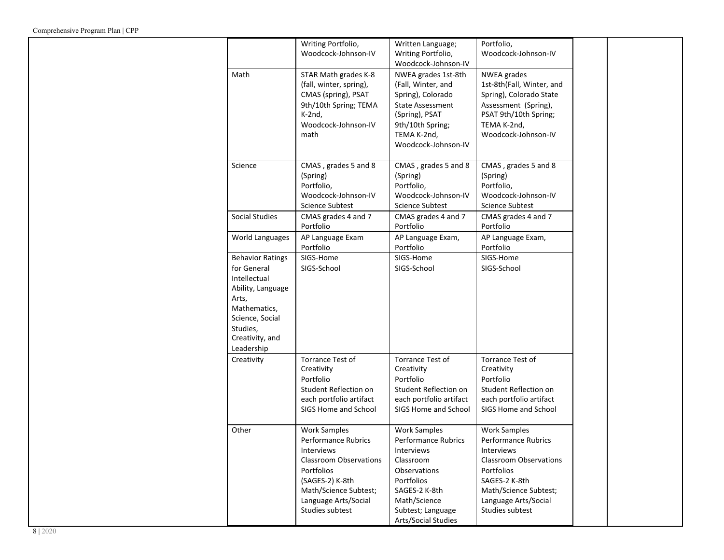|                                                                                                                                                                      | Writing Portfolio,<br>Woodcock-Johnson-IV                                                                                                                                                      | Written Language;<br>Writing Portfolio,<br>Woodcock-Johnson-IV                                                                                                                          | Portfolio,<br>Woodcock-Johnson-IV                                                                                                                                                                   |  |
|----------------------------------------------------------------------------------------------------------------------------------------------------------------------|------------------------------------------------------------------------------------------------------------------------------------------------------------------------------------------------|-----------------------------------------------------------------------------------------------------------------------------------------------------------------------------------------|-----------------------------------------------------------------------------------------------------------------------------------------------------------------------------------------------------|--|
| Math                                                                                                                                                                 | STAR Math grades K-8<br>(fall, winter, spring),<br>CMAS (spring), PSAT<br>9th/10th Spring; TEMA<br>$K-2nd$ ,<br>Woodcock-Johnson-IV<br>math                                                    | NWEA grades 1st-8th<br>(Fall, Winter, and<br>Spring), Colorado<br><b>State Assessment</b><br>(Spring), PSAT<br>9th/10th Spring;<br>TEMA K-2nd,<br>Woodcock-Johnson-IV                   | <b>NWEA</b> grades<br>1st-8th(Fall, Winter, and<br>Spring), Colorado State<br>Assessment (Spring),<br>PSAT 9th/10th Spring;<br>TEMA K-2nd,<br>Woodcock-Johnson-IV                                   |  |
| Science                                                                                                                                                              | CMAS, grades 5 and 8<br>(Spring)<br>Portfolio,<br>Woodcock-Johnson-IV<br><b>Science Subtest</b>                                                                                                | CMAS, grades 5 and 8<br>(Spring)<br>Portfolio,<br>Woodcock-Johnson-IV<br><b>Science Subtest</b>                                                                                         | CMAS, grades 5 and 8<br>(Spring)<br>Portfolio,<br>Woodcock-Johnson-IV<br><b>Science Subtest</b>                                                                                                     |  |
| <b>Social Studies</b>                                                                                                                                                | CMAS grades 4 and 7<br>Portfolio                                                                                                                                                               | CMAS grades 4 and 7<br>Portfolio                                                                                                                                                        | CMAS grades 4 and 7<br>Portfolio                                                                                                                                                                    |  |
| World Languages                                                                                                                                                      | AP Language Exam<br>Portfolio                                                                                                                                                                  | AP Language Exam,<br>Portfolio                                                                                                                                                          | AP Language Exam,<br>Portfolio                                                                                                                                                                      |  |
| <b>Behavior Ratings</b><br>for General<br>Intellectual<br>Ability, Language<br>Arts,<br>Mathematics,<br>Science, Social<br>Studies,<br>Creativity, and<br>Leadership | SIGS-Home<br>SIGS-School                                                                                                                                                                       | SIGS-Home<br>SIGS-School                                                                                                                                                                | SIGS-Home<br>SIGS-School                                                                                                                                                                            |  |
| Creativity                                                                                                                                                           | Torrance Test of<br>Creativity<br>Portfolio<br>Student Reflection on<br>each portfolio artifact<br>SIGS Home and School                                                                        | Torrance Test of<br>Creativity<br>Portfolio<br>Student Reflection on<br>each portfolio artifact<br>SIGS Home and School                                                                 | Torrance Test of<br>Creativity<br>Portfolio<br>Student Reflection on<br>each portfolio artifact<br>SIGS Home and School                                                                             |  |
| Other                                                                                                                                                                | <b>Work Samples</b><br>Performance Rubrics<br>Interviews<br><b>Classroom Observations</b><br>Portfolios<br>(SAGES-2) K-8th<br>Math/Science Subtest;<br>Language Arts/Social<br>Studies subtest | <b>Work Samples</b><br><b>Performance Rubrics</b><br>Interviews<br>Classroom<br>Observations<br>Portfolios<br>SAGES-2 K-8th<br>Math/Science<br>Subtest; Language<br>Arts/Social Studies | <b>Work Samples</b><br><b>Performance Rubrics</b><br>Interviews<br><b>Classroom Observations</b><br>Portfolios<br>SAGES-2 K-8th<br>Math/Science Subtest;<br>Language Arts/Social<br>Studies subtest |  |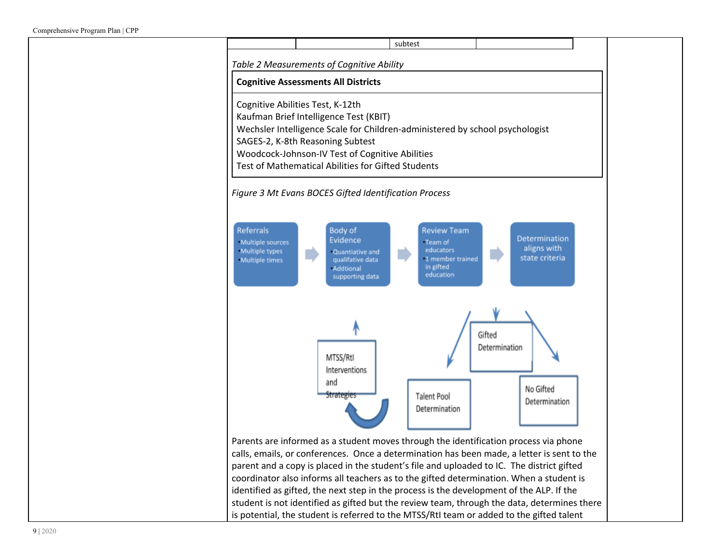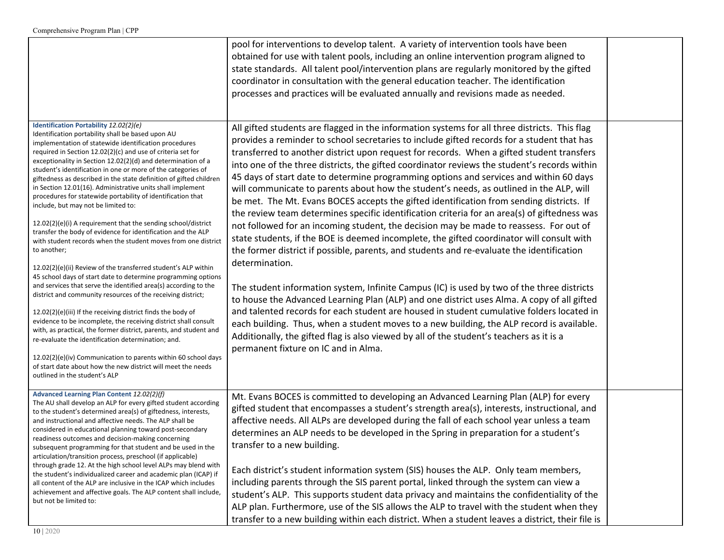|                                                                                                                                                                                                                                                                                                                                                                                                                                                                                                                                                                                                                                                                                                                                                                                                                                                                                                                                                                                                                                                                                                                                                                                                                                                                                                                                                                                                                                                                                                                      | pool for interventions to develop talent. A variety of intervention tools have been<br>obtained for use with talent pools, including an online intervention program aligned to<br>state standards. All talent pool/intervention plans are regularly monitored by the gifted<br>coordinator in consultation with the general education teacher. The identification<br>processes and practices will be evaluated annually and revisions made as needed.                                                                                                                                                                                                                                                                                                                                                                                                                                                                                                                                                                                                                                                                                                                                                                                                                                                                                                                                                                                                                                                                                                                                                     |  |
|----------------------------------------------------------------------------------------------------------------------------------------------------------------------------------------------------------------------------------------------------------------------------------------------------------------------------------------------------------------------------------------------------------------------------------------------------------------------------------------------------------------------------------------------------------------------------------------------------------------------------------------------------------------------------------------------------------------------------------------------------------------------------------------------------------------------------------------------------------------------------------------------------------------------------------------------------------------------------------------------------------------------------------------------------------------------------------------------------------------------------------------------------------------------------------------------------------------------------------------------------------------------------------------------------------------------------------------------------------------------------------------------------------------------------------------------------------------------------------------------------------------------|-----------------------------------------------------------------------------------------------------------------------------------------------------------------------------------------------------------------------------------------------------------------------------------------------------------------------------------------------------------------------------------------------------------------------------------------------------------------------------------------------------------------------------------------------------------------------------------------------------------------------------------------------------------------------------------------------------------------------------------------------------------------------------------------------------------------------------------------------------------------------------------------------------------------------------------------------------------------------------------------------------------------------------------------------------------------------------------------------------------------------------------------------------------------------------------------------------------------------------------------------------------------------------------------------------------------------------------------------------------------------------------------------------------------------------------------------------------------------------------------------------------------------------------------------------------------------------------------------------------|--|
| Identification Portability 12.02(2)(e)<br>Identification portability shall be based upon AU<br>implementation of statewide identification procedures<br>required in Section 12.02(2)(c) and use of criteria set for<br>exceptionality in Section 12.02(2)(d) and determination of a<br>student's identification in one or more of the categories of<br>giftedness as described in the state definition of gifted children<br>in Section 12.01(16). Administrative units shall implement<br>procedures for statewide portability of identification that<br>include, but may not be limited to:<br>12.02(2)(e)(i) A requirement that the sending school/district<br>transfer the body of evidence for identification and the ALP<br>with student records when the student moves from one district<br>to another;<br>12.02(2)(e)(ii) Review of the transferred student's ALP within<br>45 school days of start date to determine programming options<br>and services that serve the identified area(s) according to the<br>district and community resources of the receiving district;<br>12.02(2)(e)(iii) If the receiving district finds the body of<br>evidence to be incomplete, the receiving district shall consult<br>with, as practical, the former district, parents, and student and<br>re-evaluate the identification determination; and.<br>12.02(2)(e)(iv) Communication to parents within 60 school days<br>of start date about how the new district will meet the needs<br>outlined in the student's ALP | All gifted students are flagged in the information systems for all three districts. This flag<br>provides a reminder to school secretaries to include gifted records for a student that has<br>transferred to another district upon request for records. When a gifted student transfers<br>into one of the three districts, the gifted coordinator reviews the student's records within<br>45 days of start date to determine programming options and services and within 60 days<br>will communicate to parents about how the student's needs, as outlined in the ALP, will<br>be met. The Mt. Evans BOCES accepts the gifted identification from sending districts. If<br>the review team determines specific identification criteria for an area(s) of giftedness was<br>not followed for an incoming student, the decision may be made to reassess. For out of<br>state students, if the BOE is deemed incomplete, the gifted coordinator will consult with<br>the former district if possible, parents, and students and re-evaluate the identification<br>determination.<br>The student information system, Infinite Campus (IC) is used by two of the three districts<br>to house the Advanced Learning Plan (ALP) and one district uses Alma. A copy of all gifted<br>and talented records for each student are housed in student cumulative folders located in<br>each building. Thus, when a student moves to a new building, the ALP record is available.<br>Additionally, the gifted flag is also viewed by all of the student's teachers as it is a<br>permanent fixture on IC and in Alma. |  |
| Advanced Learning Plan Content 12.02(2)(f)<br>The AU shall develop an ALP for every gifted student according<br>to the student's determined area(s) of giftedness, interests,<br>and instructional and affective needs. The ALP shall be<br>considered in educational planning toward post-secondary<br>readiness outcomes and decision-making concerning<br>subsequent programming for that student and be used in the<br>articulation/transition process, preschool (if applicable)<br>through grade 12. At the high school level ALPs may blend with<br>the student's individualized career and academic plan (ICAP) if<br>all content of the ALP are inclusive in the ICAP which includes<br>achievement and affective goals. The ALP content shall include,<br>but not be limited to:                                                                                                                                                                                                                                                                                                                                                                                                                                                                                                                                                                                                                                                                                                                           | Mt. Evans BOCES is committed to developing an Advanced Learning Plan (ALP) for every<br>gifted student that encompasses a student's strength area(s), interests, instructional, and<br>affective needs. All ALPs are developed during the fall of each school year unless a team<br>determines an ALP needs to be developed in the Spring in preparation for a student's<br>transfer to a new building.<br>Each district's student information system (SIS) houses the ALP. Only team members,<br>including parents through the SIS parent portal, linked through the system can view a<br>student's ALP. This supports student data privacy and maintains the confidentiality of the<br>ALP plan. Furthermore, use of the SIS allows the ALP to travel with the student when they<br>transfer to a new building within each district. When a student leaves a district, their file is                                                                                                                                                                                                                                                                                                                                                                                                                                                                                                                                                                                                                                                                                                                    |  |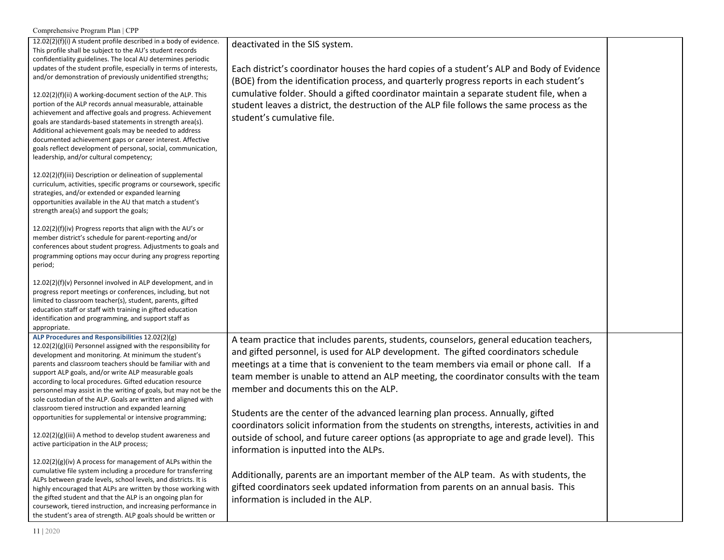| Comprehensive Program Plan   CPP                                                                                                                                                                                                                                                                                                                                                                                                                                                                                                                                                                                                                                                                                                                                                                                                                                                        |                                                                                                                                                                                                                                                                                                                                                                                                                                                                                                                                                                                                                                                                                                 |  |
|-----------------------------------------------------------------------------------------------------------------------------------------------------------------------------------------------------------------------------------------------------------------------------------------------------------------------------------------------------------------------------------------------------------------------------------------------------------------------------------------------------------------------------------------------------------------------------------------------------------------------------------------------------------------------------------------------------------------------------------------------------------------------------------------------------------------------------------------------------------------------------------------|-------------------------------------------------------------------------------------------------------------------------------------------------------------------------------------------------------------------------------------------------------------------------------------------------------------------------------------------------------------------------------------------------------------------------------------------------------------------------------------------------------------------------------------------------------------------------------------------------------------------------------------------------------------------------------------------------|--|
| 12.02(2)(f)(i) A student profile described in a body of evidence.<br>This profile shall be subject to the AU's student records<br>confidentiality guidelines. The local AU determines periodic<br>updates of the student profile, especially in terms of interests,<br>and/or demonstration of previously unidentified strengths;<br>12.02(2)(f)(ii) A working-document section of the ALP. This<br>portion of the ALP records annual measurable, attainable<br>achievement and affective goals and progress. Achievement<br>goals are standards-based statements in strength area(s).<br>Additional achievement goals may be needed to address<br>documented achievement gaps or career interest. Affective<br>goals reflect development of personal, social, communication,<br>leadership, and/or cultural competency;<br>12.02(2)(f)(iii) Description or delineation of supplemental | deactivated in the SIS system.<br>Each district's coordinator houses the hard copies of a student's ALP and Body of Evidence<br>(BOE) from the identification process, and quarterly progress reports in each student's<br>cumulative folder. Should a gifted coordinator maintain a separate student file, when a<br>student leaves a district, the destruction of the ALP file follows the same process as the<br>student's cumulative file.                                                                                                                                                                                                                                                  |  |
| curriculum, activities, specific programs or coursework, specific<br>strategies, and/or extended or expanded learning<br>opportunities available in the AU that match a student's<br>strength area(s) and support the goals;                                                                                                                                                                                                                                                                                                                                                                                                                                                                                                                                                                                                                                                            |                                                                                                                                                                                                                                                                                                                                                                                                                                                                                                                                                                                                                                                                                                 |  |
| $12.02(2)(f)(iv)$ Progress reports that align with the AU's or<br>member district's schedule for parent-reporting and/or<br>conferences about student progress. Adjustments to goals and<br>programming options may occur during any progress reporting<br>period;                                                                                                                                                                                                                                                                                                                                                                                                                                                                                                                                                                                                                      |                                                                                                                                                                                                                                                                                                                                                                                                                                                                                                                                                                                                                                                                                                 |  |
| 12.02(2)(f)(v) Personnel involved in ALP development, and in<br>progress report meetings or conferences, including, but not<br>limited to classroom teacher(s), student, parents, gifted<br>education staff or staff with training in gifted education<br>identification and programming, and support staff as<br>appropriate.                                                                                                                                                                                                                                                                                                                                                                                                                                                                                                                                                          |                                                                                                                                                                                                                                                                                                                                                                                                                                                                                                                                                                                                                                                                                                 |  |
| ALP Procedures and Responsibilities 12.02(2)(g)<br>12.02(2)(g)(ii) Personnel assigned with the responsibility for<br>development and monitoring. At minimum the student's<br>parents and classroom teachers should be familiar with and<br>support ALP goals, and/or write ALP measurable goals<br>according to local procedures. Gifted education resource<br>personnel may assist in the writing of goals, but may not be the<br>sole custodian of the ALP. Goals are written and aligned with<br>classroom tiered instruction and expanded learning<br>opportunities for supplemental or intensive programming;<br>12.02(2)(g)(iii) A method to develop student awareness and<br>active participation in the ALP process;                                                                                                                                                            | A team practice that includes parents, students, counselors, general education teachers,<br>and gifted personnel, is used for ALP development. The gifted coordinators schedule<br>meetings at a time that is convenient to the team members via email or phone call. If a<br>team member is unable to attend an ALP meeting, the coordinator consults with the team<br>member and documents this on the ALP.<br>Students are the center of the advanced learning plan process. Annually, gifted<br>coordinators solicit information from the students on strengths, interests, activities in and<br>outside of school, and future career options (as appropriate to age and grade level). This |  |
| 12.02(2)(g)(iv) A process for management of ALPs within the<br>cumulative file system including a procedure for transferring<br>ALPs between grade levels, school levels, and districts. It is<br>highly encouraged that ALPs are written by those working with<br>the gifted student and that the ALP is an ongoing plan for<br>coursework, tiered instruction, and increasing performance in<br>the student's area of strength. ALP goals should be written or                                                                                                                                                                                                                                                                                                                                                                                                                        | information is inputted into the ALPs.<br>Additionally, parents are an important member of the ALP team. As with students, the<br>gifted coordinators seek updated information from parents on an annual basis. This<br>information is included in the ALP.                                                                                                                                                                                                                                                                                                                                                                                                                                     |  |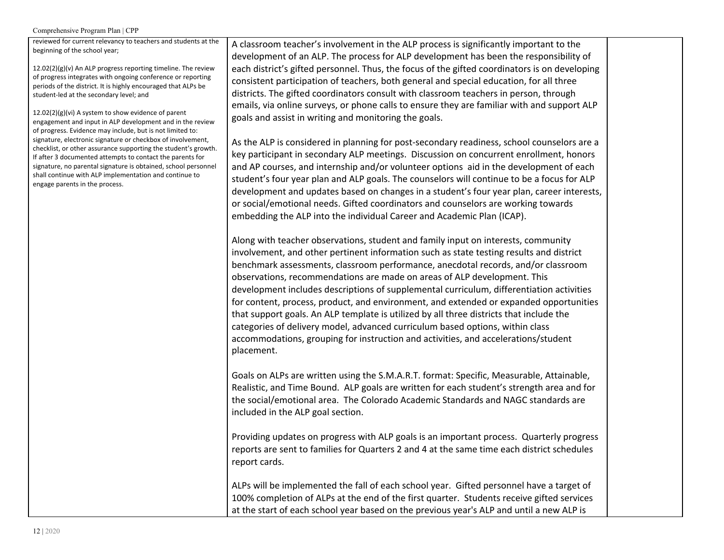reviewed for current relevancy to teachers and students at the beginning of the school year;

 $12.02(2)(g)(v)$  An ALP progress reporting timeline. The review of progress integrates with ongoing conference or reporting periods of the district. It is highly encouraged that ALPs be student-led at the secondary level; and

12.02(2)(g)(vi) A system to show evidence of parent engagement and input in ALP development and in the review of progress. Evidence may include, but is not limited to: signature, electronic signature or checkbox of involvement, checklist, or other assurance supporting the student's growth. If after 3 documented attempts to contact the parents for signature, no parental signature is obtained, school personnel shall continue with ALP implementation and continue to engage parents in the process.

A classroom teacher's involvement in the ALP process is significantly important to the development of an ALP. The process for ALP development has been the responsibility of each district's gifted personnel. Thus, the focus of the gifted coordinators is on developing consistent participation of teachers, both general and special education, for all three districts. The gifted coordinators consult with classroom teachers in person, through emails, via online surveys, or phone calls to ensure they are familiar with and support ALP goals and assist in writing and monitoring the goals.

As the ALP is considered in planning for post-secondary readiness, school counselors are a key participant in secondary ALP meetings. Discussion on concurrent enrollment, honors and AP courses, and internship and/or volunteer options aid in the development of each student's four year plan and ALP goals. The counselors will continue to be a focus for ALP development and updates based on changes in a student's four year plan, career interests, or social/emotional needs. Gifted coordinators and counselors are working towards embedding the ALP into the individual Career and Academic Plan (ICAP).

Along with teacher observations, student and family input on interests, community involvement, and other pertinent information such as state testing results and district benchmark assessments, classroom performance, anecdotal records, and/or classroom observations, recommendations are made on areas of ALP development. This development includes descriptions of supplemental curriculum, differentiation activities for content, process, product, and environment, and extended or expanded opportunities that support goals. An ALP template is utilized by all three districts that include the categories of delivery model, advanced curriculum based options, within class accommodations, grouping for instruction and activities, and accelerations/student placement.

Goals on ALPs are written using the S.M.A.R.T. format: Specific, Measurable, Attainable, Realistic, and Time Bound. ALP goals are written for each student's strength area and for the social/emotional area. The Colorado Academic Standards and NAGC standards are included in the ALP goal section.

Providing updates on progress with ALP goals is an important process. Quarterly progress reports are sent to families for Quarters 2 and 4 at the same time each district schedules report cards.

ALPs will be implemented the fall of each school year. Gifted personnel have a target of 100% completion of ALPs at the end of the first quarter. Students receive gifted services at the start of each school year based on the previous year's ALP and until a new ALP is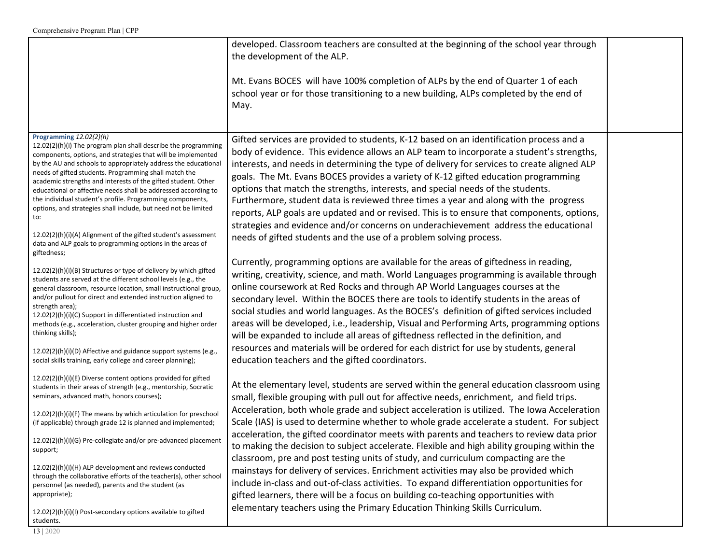|                                                                                                                                                                                                                                                                                                                                                                                                                                                                                                                                                                                                                                                                                              | developed. Classroom teachers are consulted at the beginning of the school year through<br>the development of the ALP.                                                                                                                                                                                                                                                                                                                                                                                                                                                                                                                                                                                                                                                                                         |  |
|----------------------------------------------------------------------------------------------------------------------------------------------------------------------------------------------------------------------------------------------------------------------------------------------------------------------------------------------------------------------------------------------------------------------------------------------------------------------------------------------------------------------------------------------------------------------------------------------------------------------------------------------------------------------------------------------|----------------------------------------------------------------------------------------------------------------------------------------------------------------------------------------------------------------------------------------------------------------------------------------------------------------------------------------------------------------------------------------------------------------------------------------------------------------------------------------------------------------------------------------------------------------------------------------------------------------------------------------------------------------------------------------------------------------------------------------------------------------------------------------------------------------|--|
|                                                                                                                                                                                                                                                                                                                                                                                                                                                                                                                                                                                                                                                                                              | Mt. Evans BOCES will have 100% completion of ALPs by the end of Quarter 1 of each<br>school year or for those transitioning to a new building, ALPs completed by the end of<br>May.                                                                                                                                                                                                                                                                                                                                                                                                                                                                                                                                                                                                                            |  |
| Programming 12.02(2)(h)<br>12.02(2)(h)(i) The program plan shall describe the programming<br>components, options, and strategies that will be implemented<br>by the AU and schools to appropriately address the educational<br>needs of gifted students. Programming shall match the<br>academic strengths and interests of the gifted student. Other<br>educational or affective needs shall be addressed according to<br>the individual student's profile. Programming components,<br>options, and strategies shall include, but need not be limited<br>to:<br>12.02(2)(h)(i)(A) Alignment of the gifted student's assessment<br>data and ALP goals to programming options in the areas of | Gifted services are provided to students, K-12 based on an identification process and a<br>body of evidence. This evidence allows an ALP team to incorporate a student's strengths,<br>interests, and needs in determining the type of delivery for services to create aligned ALP<br>goals. The Mt. Evans BOCES provides a variety of K-12 gifted education programming<br>options that match the strengths, interests, and special needs of the students.<br>Furthermore, student data is reviewed three times a year and along with the progress<br>reports, ALP goals are updated and or revised. This is to ensure that components, options,<br>strategies and evidence and/or concerns on underachievement address the educational<br>needs of gifted students and the use of a problem solving process. |  |
| giftedness;<br>12.02(2)(h)(i)(B) Structures or type of delivery by which gifted<br>students are served at the different school levels (e.g., the<br>general classroom, resource location, small instructional group,<br>and/or pullout for direct and extended instruction aligned to<br>strength area);<br>12.02(2)(h)(i)(C) Support in differentiated instruction and<br>methods (e.g., acceleration, cluster grouping and higher order<br>thinking skills);<br>12.02(2)(h)(i)(D) Affective and guidance support systems (e.g.,                                                                                                                                                            | Currently, programming options are available for the areas of giftedness in reading,<br>writing, creativity, science, and math. World Languages programming is available through<br>online coursework at Red Rocks and through AP World Languages courses at the<br>secondary level. Within the BOCES there are tools to identify students in the areas of<br>social studies and world languages. As the BOCES's definition of gifted services included<br>areas will be developed, i.e., leadership, Visual and Performing Arts, programming options<br>will be expanded to include all areas of giftedness reflected in the definition, and<br>resources and materials will be ordered for each district for use by students, general                                                                        |  |
| social skills training, early college and career planning);<br>$12.02(2)(h)(i)(E)$ Diverse content options provided for gifted<br>students in their areas of strength (e.g., mentorship, Socratic<br>seminars, advanced math, honors courses);<br>12.02(2)(h)(i)(F) The means by which articulation for preschool                                                                                                                                                                                                                                                                                                                                                                            | education teachers and the gifted coordinators.<br>At the elementary level, students are served within the general education classroom using<br>small, flexible grouping with pull out for affective needs, enrichment, and field trips.<br>Acceleration, both whole grade and subject acceleration is utilized. The Iowa Acceleration                                                                                                                                                                                                                                                                                                                                                                                                                                                                         |  |
| (if applicable) through grade 12 is planned and implemented;<br>12.02(2)(h)(i)(G) Pre-collegiate and/or pre-advanced placement<br>support;                                                                                                                                                                                                                                                                                                                                                                                                                                                                                                                                                   | Scale (IAS) is used to determine whether to whole grade accelerate a student. For subject<br>acceleration, the gifted coordinator meets with parents and teachers to review data prior<br>to making the decision to subject accelerate. Flexible and high ability grouping within the<br>classroom, pre and post testing units of study, and curriculum compacting are the                                                                                                                                                                                                                                                                                                                                                                                                                                     |  |
| 12.02(2)(h)(i)(H) ALP development and reviews conducted<br>through the collaborative efforts of the teacher(s), other school<br>personnel (as needed), parents and the student (as<br>appropriate);                                                                                                                                                                                                                                                                                                                                                                                                                                                                                          | mainstays for delivery of services. Enrichment activities may also be provided which<br>include in-class and out-of-class activities. To expand differentiation opportunities for<br>gifted learners, there will be a focus on building co-teaching opportunities with                                                                                                                                                                                                                                                                                                                                                                                                                                                                                                                                         |  |
| 12.02(2)(h)(i)(l) Post-secondary options available to gifted<br>students.<br>13   2020                                                                                                                                                                                                                                                                                                                                                                                                                                                                                                                                                                                                       | elementary teachers using the Primary Education Thinking Skills Curriculum.                                                                                                                                                                                                                                                                                                                                                                                                                                                                                                                                                                                                                                                                                                                                    |  |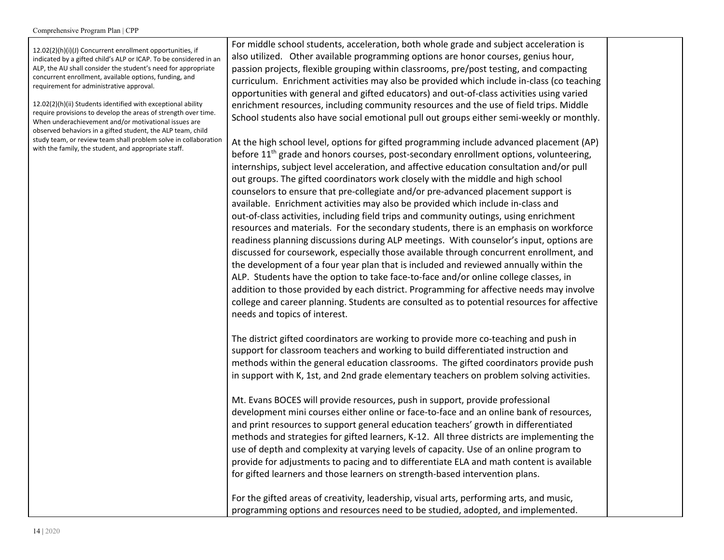12.02(2)(h)(i)(J) Concurrent enrollment opportunities, if indicated by a gifted child's ALP or ICAP. To be considered in an ALP, the AU shall consider the student's need for appropriate concurrent enrollment, available options, funding, and requirement for administrative approval.

12.02(2)(h)(ii) Students identified with exceptional ability require provisions to develop the areas of strength over time. When underachievement and/or motivational issues are observed behaviors in a gifted student, the ALP team, child study team, or review team shall problem solve in collaboration with the family, the student, and appropriate staff.

For middle school students, acceleration, both whole grade and subject acceleration is also utilized. Other available programming options are honor courses, genius hour, passion projects, flexible grouping within classrooms, pre/post testing, and compacting curriculum. Enrichment activities may also be provided which include in-class (co teaching opportunities with general and gifted educators) and out-of-class activities using varied enrichment resources, including community resources and the use of field trips. Middle School students also have social emotional pull out groups either semi-weekly or monthly.

At the high school level, options for gifted programming include advanced placement (AP) before 11<sup>th</sup> grade and honors courses, post-secondary enrollment options, volunteering, internships, subject level acceleration, and affective education consultation and/or pull out groups. The gifted coordinators work closely with the middle and high school counselors to ensure that pre-collegiate and/or pre-advanced placement support is available. Enrichment activities may also be provided which include in-class and out-of-class activities, including field trips and community outings, using enrichment resources and materials. For the secondary students, there is an emphasis on workforce readiness planning discussions during ALP meetings. With counselor's input, options are discussed for coursework, especially those available through concurrent enrollment, and the development of a four year plan that is included and reviewed annually within the ALP. Students have the option to take face-to-face and/or online college classes, in addition to those provided by each district. Programming for affective needs may involve college and career planning. Students are consulted as to potential resources for affective needs and topics of interest.

The district gifted coordinators are working to provide more co-teaching and push in support for classroom teachers and working to build differentiated instruction and methods within the general education classrooms. The gifted coordinators provide push in support with K, 1st, and 2nd grade elementary teachers on problem solving activities.

Mt. Evans BOCES will provide resources, push in support, provide professional development mini courses either online or face-to-face and an online bank of resources, and print resources to support general education teachers' growth in differentiated methods and strategies for gifted learners, K-12. All three districts are implementing the use of depth and complexity at varying levels of capacity. Use of an online program to provide for adjustments to pacing and to differentiate ELA and math content is available for gifted learners and those learners on strength-based intervention plans.

For the gifted areas of creativity, leadership, visual arts, performing arts, and music, programming options and resources need to be studied, adopted, and implemented.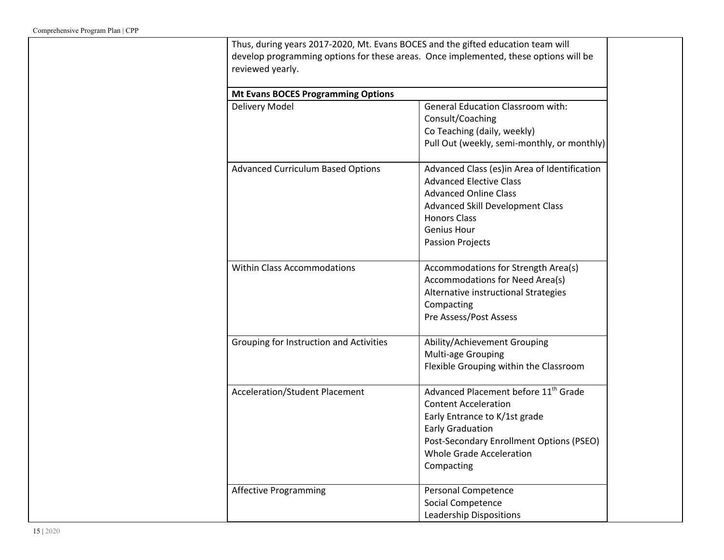| <b>Mt Evans BOCES Programming Options</b> |                                                                                                                                                                                                                                          |
|-------------------------------------------|------------------------------------------------------------------------------------------------------------------------------------------------------------------------------------------------------------------------------------------|
| Delivery Model                            | <b>General Education Classroom with:</b><br>Consult/Coaching<br>Co Teaching (daily, weekly)<br>Pull Out (weekly, semi-monthly, or monthly)                                                                                               |
| <b>Advanced Curriculum Based Options</b>  | Advanced Class (es)in Area of Identification<br><b>Advanced Elective Class</b><br><b>Advanced Online Class</b><br><b>Advanced Skill Development Class</b><br><b>Honors Class</b><br><b>Genius Hour</b><br><b>Passion Projects</b>        |
| <b>Within Class Accommodations</b>        | Accommodations for Strength Area(s)<br>Accommodations for Need Area(s)<br>Alternative instructional Strategies<br>Compacting<br>Pre Assess/Post Assess                                                                                   |
| Grouping for Instruction and Activities   | Ability/Achievement Grouping<br>Multi-age Grouping<br>Flexible Grouping within the Classroom                                                                                                                                             |
| <b>Acceleration/Student Placement</b>     | Advanced Placement before 11 <sup>th</sup> Grade<br><b>Content Acceleration</b><br>Early Entrance to K/1st grade<br><b>Early Graduation</b><br>Post-Secondary Enrollment Options (PSEO)<br><b>Whole Grade Acceleration</b><br>Compacting |
| <b>Affective Programming</b>              | Personal Competence<br>Social Competence<br>Leadership Dispositions                                                                                                                                                                      |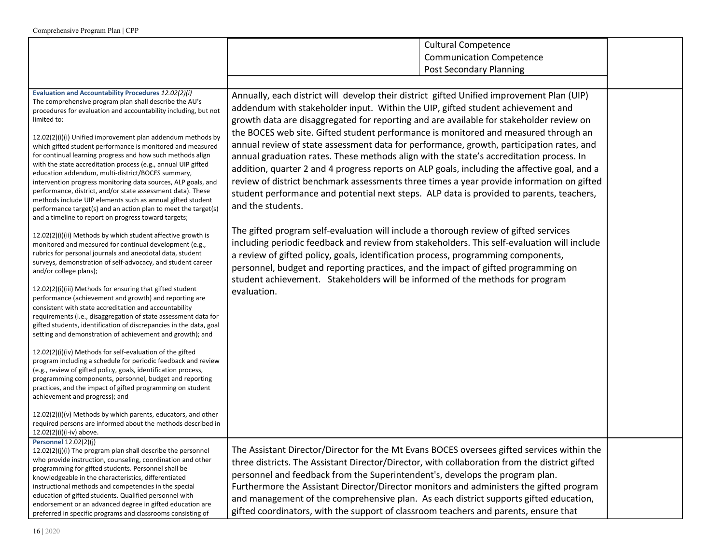|                                                                                                                                                                                                                                                                                                                                                                                                                                                                                                                                                                                                                                                                                                                                                                                                                                                                                                                                                                                                                                                                                                  | <b>Cultural Competence</b><br><b>Communication Competence</b><br><b>Post Secondary Planning</b>                                                                                                                                                                                                                                                                                                                                                                                                                                                                                                                                                                                                                                                                                                                                                                                                                                                                                                                                                                                                                                                 |  |
|--------------------------------------------------------------------------------------------------------------------------------------------------------------------------------------------------------------------------------------------------------------------------------------------------------------------------------------------------------------------------------------------------------------------------------------------------------------------------------------------------------------------------------------------------------------------------------------------------------------------------------------------------------------------------------------------------------------------------------------------------------------------------------------------------------------------------------------------------------------------------------------------------------------------------------------------------------------------------------------------------------------------------------------------------------------------------------------------------|-------------------------------------------------------------------------------------------------------------------------------------------------------------------------------------------------------------------------------------------------------------------------------------------------------------------------------------------------------------------------------------------------------------------------------------------------------------------------------------------------------------------------------------------------------------------------------------------------------------------------------------------------------------------------------------------------------------------------------------------------------------------------------------------------------------------------------------------------------------------------------------------------------------------------------------------------------------------------------------------------------------------------------------------------------------------------------------------------------------------------------------------------|--|
| Evaluation and Accountability Procedures 12.02(2)(i)<br>The comprehensive program plan shall describe the AU's<br>procedures for evaluation and accountability including, but not<br>limited to:<br>12.02(2)(i)(i) Unified improvement plan addendum methods by<br>which gifted student performance is monitored and measured<br>for continual learning progress and how such methods align<br>with the state accreditation process (e.g., annual UIP gifted<br>education addendum, multi-district/BOCES summary,<br>intervention progress monitoring data sources, ALP goals, and<br>performance, district, and/or state assessment data). These<br>methods include UIP elements such as annual gifted student<br>performance target(s) and an action plan to meet the target(s)<br>and a timeline to report on progress toward targets;<br>12.02(2)(i)(ii) Methods by which student affective growth is<br>monitored and measured for continual development (e.g.,<br>rubrics for personal journals and anecdotal data, student<br>surveys, demonstration of self-advocacy, and student career | Annually, each district will develop their district gifted Unified improvement Plan (UIP)<br>addendum with stakeholder input. Within the UIP, gifted student achievement and<br>growth data are disaggregated for reporting and are available for stakeholder review on<br>the BOCES web site. Gifted student performance is monitored and measured through an<br>annual review of state assessment data for performance, growth, participation rates, and<br>annual graduation rates. These methods align with the state's accreditation process. In<br>addition, quarter 2 and 4 progress reports on ALP goals, including the affective goal, and a<br>review of district benchmark assessments three times a year provide information on gifted<br>student performance and potential next steps. ALP data is provided to parents, teachers,<br>and the students.<br>The gifted program self-evaluation will include a thorough review of gifted services<br>including periodic feedback and review from stakeholders. This self-evaluation will include<br>a review of gifted policy, goals, identification process, programming components, |  |
| and/or college plans);<br>12.02(2)(i)(iii) Methods for ensuring that gifted student<br>performance (achievement and growth) and reporting are<br>consistent with state accreditation and accountability<br>requirements (i.e., disaggregation of state assessment data for<br>gifted students, identification of discrepancies in the data, goal<br>setting and demonstration of achievement and growth); and<br>12.02(2)(i)(iv) Methods for self-evaluation of the gifted<br>program including a schedule for periodic feedback and review<br>(e.g., review of gifted policy, goals, identification process,<br>programming components, personnel, budget and reporting<br>practices, and the impact of gifted programming on student<br>achievement and progress); and<br>12.02(2)(i)(v) Methods by which parents, educators, and other<br>required persons are informed about the methods described in                                                                                                                                                                                        | personnel, budget and reporting practices, and the impact of gifted programming on<br>student achievement. Stakeholders will be informed of the methods for program<br>evaluation.                                                                                                                                                                                                                                                                                                                                                                                                                                                                                                                                                                                                                                                                                                                                                                                                                                                                                                                                                              |  |
| 12.02(2)(i)(i-iv) above.<br>Personnel 12.02(2)(j)<br>12.02(2)(i)(i) The program plan shall describe the personnel<br>who provide instruction, counseling, coordination and other<br>programming for gifted students. Personnel shall be<br>knowledgeable in the characteristics, differentiated<br>instructional methods and competencies in the special<br>education of gifted students. Qualified personnel with<br>endorsement or an advanced degree in gifted education are<br>preferred in specific programs and classrooms consisting of                                                                                                                                                                                                                                                                                                                                                                                                                                                                                                                                                   | The Assistant Director/Director for the Mt Evans BOCES oversees gifted services within the<br>three districts. The Assistant Director/Director, with collaboration from the district gifted<br>personnel and feedback from the Superintendent's, develops the program plan.<br>Furthermore the Assistant Director/Director monitors and administers the gifted program<br>and management of the comprehensive plan. As each district supports gifted education,<br>gifted coordinators, with the support of classroom teachers and parents, ensure that                                                                                                                                                                                                                                                                                                                                                                                                                                                                                                                                                                                         |  |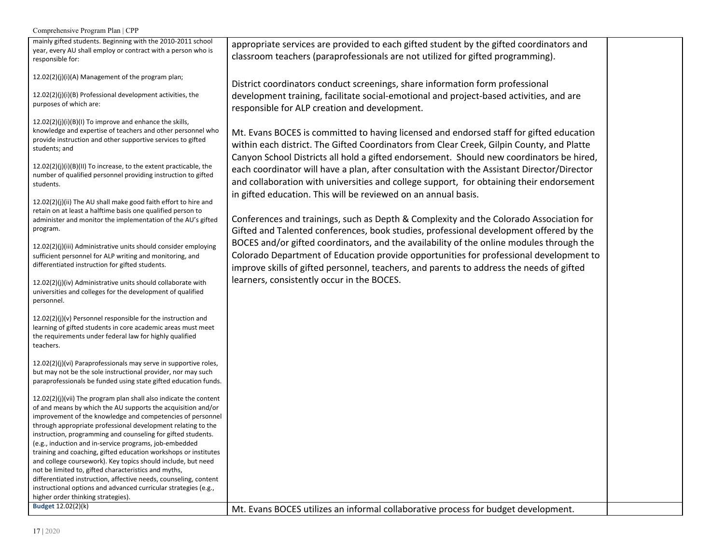mainly gifted students. Beginning with the 2010-2011 school year, every AU shall employ or contract with a person who is responsible for:

12.02(2)(j)(i)(A) Management of the program plan;

12.02(2)(j)(i)(B) Professional development activities, the purposes of which are:

12.02(2)(j)(i)(B)(I) To improve and enhance the skills, knowledge and expertise of teachers and other personnel who provide instruction and other supportive services to gifted students; and

12.02(2)(j)(i)(B)(II) To increase, to the extent practicable, the number of qualified personnel providing instruction to gifted students.

12.02(2)(j)(ii) The AU shall make good faith effort to hire and retain on at least a halftime basis one qualified person to administer and monitor the implementation of the AU's gifted program.

12.02(2)(j)(iii) Administrative units should consider employing sufficient personnel for ALP writing and monitoring, and differentiated instruction for gifted students.

12.02(2)(j)(iv) Administrative units should collaborate with universities and colleges for the development of qualified personnel.

12.02(2)(j)(v) Personnel responsible for the instruction and learning of gifted students in core academic areas must meet the requirements under federal law for highly qualified teachers.

12.02(2)(j)(vi) Paraprofessionals may serve in supportive roles, but may not be the sole instructional provider, nor may such paraprofessionals be funded using state gifted education funds.

12.02(2)(j)(vii) The program plan shall also indicate the content of and means by which the AU supports the acquisition and/or improvement of the knowledge and competencies of personnel through appropriate professional development relating to the instruction, programming and counseling for gifted students. (e.g., induction and in-service programs, job-embedded training and coaching, gifted education workshops or institutes and college coursework). Key topics should include, but need not be limited to, gifted characteristics and myths, differentiated instruction, affective needs, counseling, content instructional options and advanced curricular strategies (e.g., higher order thinking strategies).

appropriate services are provided to each gifted student by the gifted coordinators and classroom teachers (paraprofessionals are not utilized for gifted programming).

District coordinators conduct screenings, share information form professional development training, facilitate social-emotional and project-based activities, and are responsible for ALP creation and development.

Mt. Evans BOCES is committed to having licensed and endorsed staff for gifted education within each district. The Gifted Coordinators from Clear Creek, Gilpin County, and Platte Canyon School Districts all hold a gifted endorsement. Should new coordinators be hired, each coordinator will have a plan, after consultation with the Assistant Director/Director and collaboration with universities and college support, for obtaining their endorsement in gifted education. This will be reviewed on an annual basis.

Conferences and trainings, such as Depth & Complexity and the Colorado Association for Gifted and Talented conferences, book studies, professional development offered by the BOCES and/or gifted coordinators, and the availability of the online modules through the Colorado Department of Education provide opportunities for professional development to improve skills of gifted personnel, teachers, and parents to address the needs of gifted learners, consistently occur in the BOCES.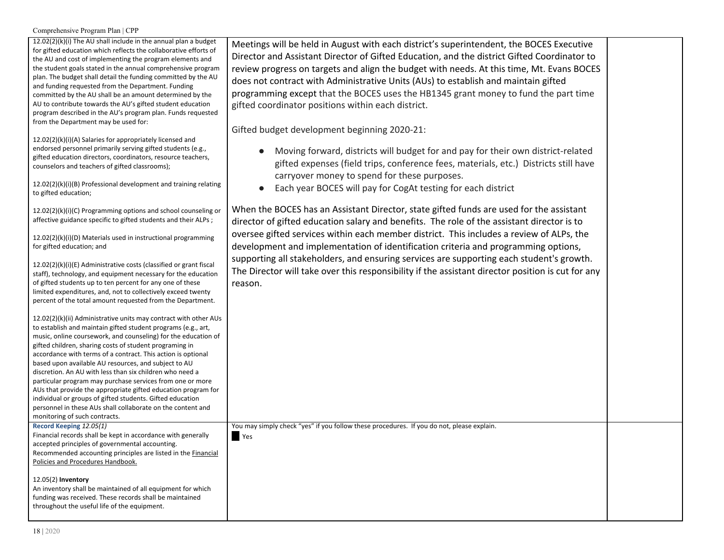| $12.02(2)(k)(i)$ The AU shall include in the annual plan a budget |
|-------------------------------------------------------------------|
| for gifted education which reflects the collaborative efforts of  |
| the AU and cost of implementing the program elements and          |
| the student goals stated in the annual comprehensive program      |
| plan. The budget shall detail the funding committed by the AU     |
| and funding requested from the Department. Funding                |
| committed by the AU shall be an amount determined by the          |
| AU to contribute towards the AU's gifted student education        |
| program described in the AU's program plan. Funds requested       |
| from the Department may be used for:                              |
|                                                                   |

12.02(2)(k)(i)(A) Salaries for appropriately licensed and endorsed personnel primarily serving gifted students (e.g., gifted education directors, coordinators, resource teachers, counselors and teachers of gifted classrooms);

12.02(2)(k)(i)(B) Professional development and training relating to gifted education;

12.02(2)(k)(i)(C) Programming options and school counseling or affective guidance specific to gifted students and their ALPs ;

12.02(2)(k)(i)(D) Materials used in instructional programming for gifted education; and

12.02(2)(k)(i)(E) Administrative costs (classified or grant fiscal staff), technology, and equipment necessary for the education of gifted students up to ten percent for any one of these limited expenditures, and, not to collectively exceed twenty percent of the total amount requested from the Department.

12.02(2)(k)(ii) Administrative units may contract with other AUs to establish and maintain gifted student programs (e.g., art, music, online coursework, and counseling) for the education of gifted children, sharing costs of student programing in accordance with terms of a contract. This action is optional based upon available AU resources, and subject to AU discretion. An AU with less than six children who need a particular program may purchase services from one or more AUs that provide the appropriate gifted education program for individual or groups of gifted students. Gifted education personnel in these AUs shall collaborate on the content and monitoring of such contracts.

**Record Keeping** *12.05(1)* Financial records shall be kept in accordance with generally accepted principles of governmental accounting. Recommended accounting principles are listed in the Financial Policies and Procedures Handbook.

12.05(2) **Inventory**

An inventory shall be maintained of all equipment for which funding was received. These records shall be maintained throughout the useful life of the equipment.

Meetings will be held in August with each district's superintendent, the BOCES Executive Director and Assistant Director of Gifted Education, and the district Gifted Coordinator to review progress on targets and align the budget with needs. At this time, Mt. Evans BOCES does not contract with Administrative Units (AUs) to establish and maintain gifted programming except that the BOCES uses the HB1345 grant money to fund the part time gifted coordinator positions within each district.

Gifted budget development beginning 2020-21:

- Moving forward, districts will budget for and pay for their own district-related gifted expenses (field trips, conference fees, materials, etc.) Districts still have carryover money to spend for these purposes.
- Each year BOCES will pay for CogAt testing for each district

When the BOCES has an Assistant Director, state gifted funds are used for the assistant director of gifted education salary and benefits. The role of the assistant director is to oversee gifted services within each member district. This includes a review of ALPs, the development and implementation of identification criteria and programming options, supporting all stakeholders, and ensuring services are supporting each student's growth. The Director will take over this responsibility if the assistant director position is cut for any reason.

You may simply check "yes" if you follow these procedures. If you do not, please explain.

■ Yes